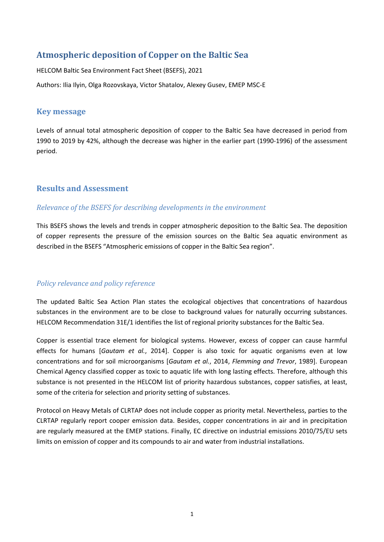# **Atmospheric deposition of Copper on the Baltic Sea**

HELCOM Baltic Sea Environment Fact Sheet (BSEFS), 2021 Authors: Ilia Ilyin, Olga Rozovskaya, Victor Shatalov, Alexey Gusev, EMEP MSC-E

## **Key message**

Levels of annual total atmospheric deposition of copper to the Baltic Sea have decreased in period from 1990 to 2019 by 42%, although the decrease was higher in the earlier part (1990-1996) of the assessment period.

## **Results and Assessment**

## *Relevance of the BSEFS for describing developments in the environment*

This BSEFS shows the levels and trends in copper atmospheric deposition to the Baltic Sea. The deposition of copper represents the pressure of the emission sources on the Baltic Sea aquatic environment as described in the BSEFS "Atmospheric emissions of copper in the Baltic Sea region".

## *Policy relevance and policy reference*

The updated Baltic Sea Action Plan states the ecological objectives that concentrations of hazardous substances in the environment are to be close to background values for naturally occurring substances. HELCOM Recommendation 31E/1 identifies the list of regional priority substances for the Baltic Sea.

Copper is essential trace element for biological systems. However, excess of copper can cause harmful effects for humans [*Gautam et al.*, 2014]. Copper is also toxic for aquatic organisms even at low concentrations and for soil microorganisms [*Gautam et al.*, 2014, *Flemming and Trevor*, 1989]. European Chemical Agency classified copper as toxic to aquatic life with long lasting effects. Therefore, although this substance is not presented in the HELCOM list of priority hazardous substances, copper satisfies, at least, some of the criteria for selection and priority setting of substances.

Protocol on Heavy Metals of CLRTAP does not include copper as priority metal. Nevertheless, parties to the CLRTAP regularly report cooper emission data. Besides, copper concentrations in air and in precipitation are regularly measured at the EMEP stations. Finally, EC directive on industrial emissions 2010/75/EU sets limits on emission of copper and its compounds to air and water from industrial installations.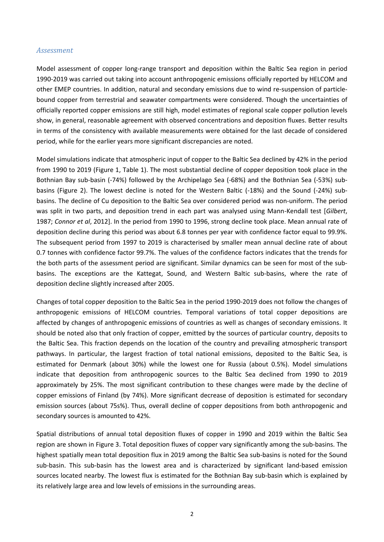#### *Assessment*

Model assessment of copper long-range transport and deposition within the Baltic Sea region in period 1990-2019 was carried out taking into account anthropogenic emissions officially reported by HELCOM and other EMEP countries. In addition, natural and secondary emissions due to wind re-suspension of particlebound copper from terrestrial and seawater compartments were considered. Though the uncertainties of officially reported copper emissions are still high, model estimates of regional scale copper pollution levels show, in general, reasonable agreement with observed concentrations and deposition fluxes. Better results in terms of the consistency with available measurements were obtained for the last decade of considered period, while for the earlier years more significant discrepancies are noted.

Model simulations indicate that atmospheric input of copper to the Baltic Sea declined by 42% in the period from 1990 to 2019 (Figure 1, Table 1). The most substantial decline of copper deposition took place in the Bothnian Bay sub-basin (-74%) followed by the Archipelago Sea (-68%) and the Bothnian Sea (-53%) subbasins (Figure 2). The lowest decline is noted for the Western Baltic (-18%) and the Sound (-24%) subbasins. The decline of Cu deposition to the Baltic Sea over considered period was non-uniform. The period was split in two parts, and deposition trend in each part was analysed using Mann-Kendall test [*Gilbert*, 1987; *Connor et al*, 2012]. In the period from 1990 to 1996, strong decline took place. Mean annual rate of deposition decline during this period was about 6.8 tonnes per year with confidence factor equal to 99.9%. The subsequent period from 1997 to 2019 is characterised by smaller mean annual decline rate of about 0.7 tonnes with confidence factor 99.7%. The values of the confidence factors indicates that the trends for the both parts of the assessment period are significant. Similar dynamics can be seen for most of the subbasins. The exceptions are the Kattegat, Sound, and Western Baltic sub-basins, where the rate of deposition decline slightly increased after 2005.

Changes of total copper deposition to the Baltic Sea in the period 1990-2019 does not follow the changes of anthropogenic emissions of HELCOM countries. Temporal variations of total copper depositions are affected by changes of anthropogenic emissions of countries as well as changes of secondary emissions. It should be noted also that only fraction of copper, emitted by the sources of particular country, deposits to the Baltic Sea. This fraction depends on the location of the country and prevailing atmospheric transport pathways. In particular, the largest fraction of total national emissions, deposited to the Baltic Sea, is estimated for Denmark (about 30%) while the lowest one for Russia (about 0.5%). Model simulations indicate that deposition from anthropogenic sources to the Baltic Sea declined from 1990 to 2019 approximately by 25%. The most significant contribution to these changes were made by the decline of copper emissions of Finland (by 74%). More significant decrease of deposition is estimated for secondary emission sources (about 75s%). Thus, overall decline of copper depositions from both anthropogenic and secondary sources is amounted to 42%.

Spatial distributions of annual total deposition fluxes of copper in 1990 and 2019 within the Baltic Sea region are shown in Figure 3. Total deposition fluxes of copper vary significantly among the sub-basins. The highest spatially mean total deposition flux in 2019 among the Baltic Sea sub-basins is noted for the Sound sub-basin. This sub-basin has the lowest area and is characterized by significant land-based emission sources located nearby. The lowest flux is estimated for the Bothnian Bay sub-basin which is explained by its relatively large area and low levels of emissions in the surrounding areas.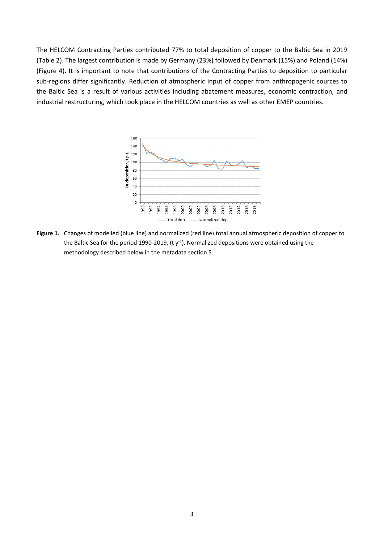The HELCOM Contracting Parties contributed 77% to total deposition of copper to the Baltic Sea in 2019 (Table 2). The largest contribution is made by Germany (23%) followed by Denmark (15%) and Poland (14%) (Figure 4). It is important to note that contributions of the Contracting Parties to deposition to particular sub-regions differ significantly. Reduction of atmospheric input of copper from anthropogenic sources to the Baltic Sea is a result of various activities including abatement measures, economic contraction, and industrial restructuring, which took place in the HELCOM countries as well as other EMEP countries.



**Figure 1.** Changes of modelled (blue line) and normalized (red line) total annual atmospheric deposition of copper to the Baltic Sea for the period 1990-2019, (t  $y$ <sup>-1</sup>). Normalized depositions were obtained using the methodology described below in the metadata section 5.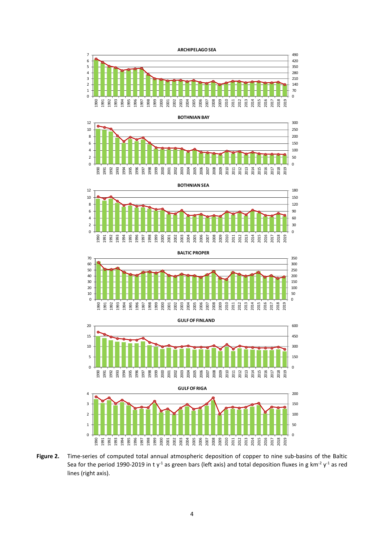

**Figure 2.** Time-series of computed total annual atmospheric deposition of copper to nine sub-basins of the Baltic Sea for the period 1990-2019 in t y<sup>-1</sup> as green bars (left axis) and total deposition fluxes in g km<sup>-2</sup> y<sup>-1</sup> as red lines (right axis).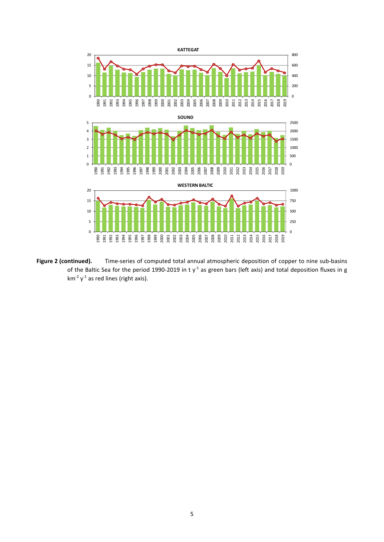

**Figure 2 (continued).** Time-series of computed total annual atmospheric deposition of copper to nine sub-basins of the Baltic Sea for the period 1990-2019 in t y<sup>-1</sup> as green bars (left axis) and total deposition fluxes in g  $km^{-2}$  y<sup>-1</sup> as red lines (right axis).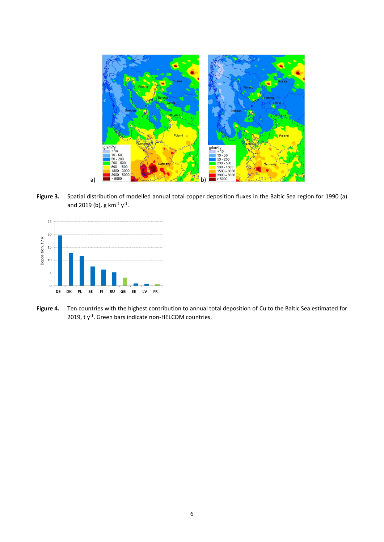

**Figure 3.** Spatial distribution of modelled annual total copper deposition fluxes in the Baltic Sea region for 1990 (a) and 2019 (b), g km<sup>-2</sup>  $y^{-1}$ .



**Figure 4.** Ten countries with the highest contribution to annual total deposition of Cu to the Baltic Sea estimated for 2019,  $t y<sup>-1</sup>$ . Green bars indicate non-HELCOM countries.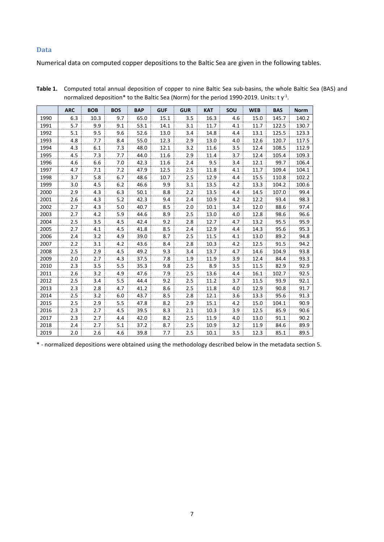#### **Data**

Numerical data on computed copper depositions to the Baltic Sea are given in the following tables.

|      | <b>ARC</b> | <b>BOB</b> | <b>BOS</b> | <b>BAP</b> | <b>GUF</b> | <b>GUR</b> | <b>KAT</b> | SOU | <b>WEB</b> | <b>BAS</b> | <b>Norm</b> |
|------|------------|------------|------------|------------|------------|------------|------------|-----|------------|------------|-------------|
| 1990 | 6.3        | 10.3       | 9.7        | 65.0       | 15.1       | 3.5        | 16.3       | 4.6 | 15.0       | 145.7      | 140.2       |
| 1991 | 5.7        | 9.9        | 9.1        | 53.1       | 14.1       | 3.1        | 11.7       | 4.1 | 11.7       | 122.5      | 130.7       |
| 1992 | 5.1        | 9.5        | 9.6        | 52.6       | 13.0       | 3.4        | 14.8       | 4.4 | 13.1       | 125.5      | 123.3       |
| 1993 | 4.8        | 7.7        | 8.4        | 55.0       | 12.3       | 2.9        | 13.0       | 4.0 | 12.6       | 120.7      | 117.5       |
| 1994 | 4.3        | 6.1        | 7.3        | 48.0       | 12.1       | 3.2        | 11.6       | 3.5 | 12.4       | 108.5      | 112.9       |
| 1995 | 4.5        | 7.3        | 7.7        | 44.0       | 11.6       | 2.9        | 11.4       | 3.7 | 12.4       | 105.4      | 109.3       |
| 1996 | 4.6        | 6.6        | 7.0        | 42.3       | 11.6       | 2.4        | 9.5        | 3.4 | 12.1       | 99.7       | 106.4       |
| 1997 | 4.7        | 7.1        | 7.2        | 47.9       | 12.5       | 2.5        | 11.8       | 4.1 | 11.7       | 109.4      | 104.1       |
| 1998 | 3.7        | 5.8        | 6.7        | 48.6       | 10.7       | 2.5        | 12.9       | 4.4 | 15.5       | 110.8      | 102.2       |
| 1999 | 3.0        | 4.5        | 6.2        | 46.6       | 9.9        | 3.1        | 13.5       | 4.2 | 13.3       | 104.2      | 100.6       |
| 2000 | 2.9        | 4.3        | 6.3        | 50.1       | 8.8        | 2.2        | 13.5       | 4.4 | 14.5       | 107.0      | 99.4        |
| 2001 | 2.6        | 4.3        | 5.2        | 42.3       | 9.4        | 2.4        | 10.9       | 4.2 | 12.2       | 93.4       | 98.3        |
| 2002 | 2.7        | 4.3        | 5.0        | 40.7       | 8.5        | 2.0        | 10.1       | 3.4 | 12.0       | 88.6       | 97.4        |
| 2003 | 2.7        | 4.2        | 5.9        | 44.6       | 8.9        | 2.5        | 13.0       | 4.0 | 12.8       | 98.6       | 96.6        |
| 2004 | 2.5        | 3.5        | 4.5        | 42.4       | 9.2        | 2.8        | 12.7       | 4.7 | 13.2       | 95.5       | 95.9        |
| 2005 | 2.7        | 4.1        | 4.5        | 41.8       | 8.5        | 2.4        | 12.9       | 4.4 | 14.3       | 95.6       | 95.3        |
| 2006 | 2.4        | 3.2        | 4.9        | 39.0       | 8.7        | 2.5        | 11.5       | 4.1 | 13.0       | 89.2       | 94.8        |
| 2007 | 2.2        | 3.1        | 4.2        | 43.6       | 8.4        | 2.8        | 10.3       | 4.2 | 12.5       | 91.5       | 94.2        |
| 2008 | 2.5        | 2.9        | 4.5        | 49.2       | 9.3        | 3.4        | 13.7       | 4.7 | 14.6       | 104.9      | 93.8        |
| 2009 | 2.0        | 2.7        | 4.3        | 37.5       | 7.8        | 1.9        | 11.9       | 3.9 | 12.4       | 84.4       | 93.3        |
| 2010 | 2.3        | 3.5        | 5.5        | 35.3       | 9.8        | 2.5        | 8.9        | 3.5 | 11.5       | 82.9       | 92.9        |
| 2011 | 2.6        | 3.2        | 4.9        | 47.6       | 7.9        | 2.5        | 13.6       | 4.4 | 16.1       | 102.7      | 92.5        |
| 2012 | 2.5        | 3.4        | 5.5        | 44.4       | 9.2        | 2.5        | 11.2       | 3.7 | 11.5       | 93.9       | 92.1        |
| 2013 | 2.3        | 2.8        | 4.7        | 41.2       | 8.6        | 2.5        | 11.8       | 4.0 | 12.9       | 90.8       | 91.7        |
| 2014 | 2.5        | 3.2        | 6.0        | 43.7       | 8.5        | 2.8        | 12.1       | 3.6 | 13.3       | 95.6       | 91.3        |
| 2015 | 2.5        | 2.9        | 5.5        | 47.8       | 8.2        | 2.9        | 15.1       | 4.2 | 15.0       | 104.1      | 90.9        |
| 2016 | 2.3        | 2.7        | 4.5        | 39.5       | 8.3        | 2.1        | 10.3       | 3.9 | 12.5       | 85.9       | 90.6        |
| 2017 | 2.3        | 2.7        | 4.4        | 42.0       | 8.2        | 2.5        | 11.9       | 4.0 | 13.0       | 91.1       | 90.2        |
| 2018 | 2.4        | 2.7        | 5.1        | 37.2       | 8.7        | 2.5        | 10.9       | 3.2 | 11.9       | 84.6       | 89.9        |
| 2019 | 2.0        | 2.6        | 4.6        | 39.8       | 7.7        | 2.5        | 10.1       | 3.5 | 12.3       | 85.1       | 89.5        |

**Table 1.** Computed total annual deposition of copper to nine Baltic Sea sub-basins, the whole Baltic Sea (BAS) and normalized deposition\* to the Baltic Sea (Norm) for the period 1990-2019. Units: t  $\mathsf{y}^\text{-1}$ .

\* - normalized depositions were obtained using the methodology described below in the metadata section 5.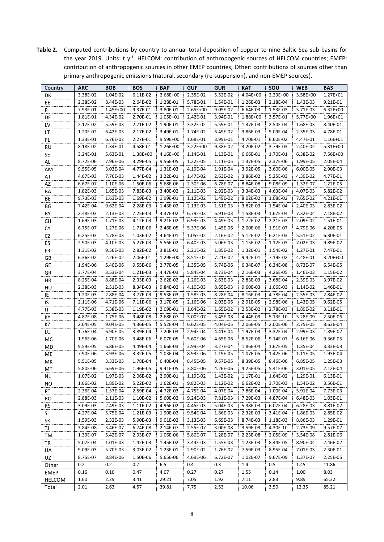**Table 2.** Computed contributions by country to annual total deposition of copper to nine Baltic Sea sub-basins for the year 2019. Units:  $t y<sup>-1</sup>$ . HELCOM: contribution of anthropogenic sources of HELCOM countries; EMEP: contribution of anthropogenic sources in other EMEP countries; Other: contributions of sources other than primary anthropogenic emissions (natural, secondary (re-suspension), and non-EMEP sources).

| Country       | <b>ARC</b> | <b>BOB</b> | <b>BOS</b> | <b>BAP</b> | <b>GUF</b>   | <b>GUR</b> | <b>KAT</b> | SOU      | <b>WEB</b> | <b>BAS</b> |
|---------------|------------|------------|------------|------------|--------------|------------|------------|----------|------------|------------|
| DK            | 3.38E-02   | 1.04E-02   | 6.11E-02   | 2.68E+00   | 2.35E-02     | 5.52E-02   | 4.04E+00   | 2.23E+00 | 3.58E+00   | 1.27E+01   |
| EE            | 2.38E-02   | 8.44E-03   | 2.64E-02   | 1.28E-01   | 5.78E-01     | 1.54E-01   | 1.26E-03   | 2.18E-04 | 1.43E-03   | 9.21E-01   |
| FI            | 7.93E-01   | 1.45E+00   | 9.37E-01   | 3.80E-01   | $2.65E+00$   | 9.05E-02   | 6.64E-03   | 1.53E-03 | 5.71E-03   | 6.32E+00   |
| DE            | 1.81E-01   | 4.34E-02   | 2.70E-01   | 1.05E+01   | 2.42E-01     | 3.94E-01   | 1.88E+00   | 3.57E-01 | 5.77E+00   | 1.96E+01   |
| LV            | 2.17E-02   | 5.59E-03   | 2.71E-02   | 1.90E-01   | 3.32E-02     | 5.59E-01   | 1.37E-03   | 2.50E-04 | 1.68E-03   | 8.40E-01   |
| LT            | 1.20E-02   | 6.42E-03   | 2.17E-02   | 3.49E-01   | 1.74E-02     | 6.49E-02   | 3.86E-03   | 5.09E-04 | 2.35E-03   | 4.78E-01   |
| PL            | 1.33E-01   | 6.76E-02   | 2.27E-01   | 9.59E+00   | 1.68E-01     | 3.99E-01   | 4.70E-01   | 6.60E-02 | 4.47E-01   | 1.16E+01   |
| <b>RU</b>     | 8.18E-02   | 1.34E-01   | 4.58E-01   | 1.26E+00   | $3.22E + 00$ | 9.38E-02   | 3.20E-02   | 3.79E-03 | 2.40E-02   | 5.31E+00   |
| <b>SE</b>     | 3.24E-01   | 5.63E-01   | 1.38E+00   | 4.16E+00   | 1.14E-01     | 1.13E-01   | 6.66E-01   | 1.70E-01 | 6.38E-02   | 7.56E+00   |
| AL            | 8.72E-06   | 7.96E-06   | 3.29E-05   | 9.56E-05   | 1.22E-05     | 1.11E-05   | 1.37E-05   | 2.37E-06 | 1.99E-05   | 2.05E-04   |
| AM            | 9.55E-05   | 3.03E-04   | 4.77E-04   | 1.31E-03   | 4.19E-04     | 1.91E-04   | 3.92E-05   | 3.60E-06 | 6.00E-05   | 2.90E-03   |
| AT            | 4.67E-03   | 7.76E-03   | 1.44E-02   | 3.22E-01   | 1.47E-02     | 2.63E-02   | 3.86E-02   | 5.25E-03 | 4.39E-02   | 4.77E-01   |
| AZ            | 6.67E-07   | 1.10E-06   | 1.50E-06   | 5.68E-06   | 2.30E-06     | 6.78E-07   | 8.84E-08   | 9.08E-09 | 1.32E-07   | 1.22E-05   |
| BА            | 1.82E-03   | 1.65E-03   | 7.83E-03   | 3.40E-02   | 2.11E-03     | 2.92E-03   | 3.34E-03   | 4.63E-04 | 4.07E-03   | 5.82E-02   |
| BE            | 9.73E-03   | 1.63E-03   | 1.69E-02   | 1.99E-01   | 1.12E-02     | 1.49E-02   | 8.02E-02   | 1.08E-02 | 7.65E-02   | 4.21E-01   |
| BG            | 7.42E-04   | 9.62E-04   | 2.28E-03   | 1.43E-02   | 2.13E-03     | 1.51E-03   | 3.82E-03   | 1.54E-04 | 2.40E-03   | 2.83E-02   |
| BY            | 2.48E-03   | 2.13E-03   | 7.25E-03   | 4.37E-02   | 6.79E-03     | 6.91E-03   | 1.58E-03   | 1.67E-04 | 7.32E-04   | 7.18E-02   |
| CН            | 1.69E-03   | 1.71E-03   | 4.12E-03   | 9.21E-02   | 6.93E-03     | 4.49E-03   | 1.72E-02   | 2.21E-03 | 2.09E-02   | 1.51E-01   |
| CY            | 6.75E-07   | 1.27E-06   | 1.71E-06   | 2.46E-05   | 5.37E-06     | 1.45E-06   | 2.00E-06   | 1.91E-07 | 4.79E-06   | 4.20E-05   |
| CZ            | 6.25E-03   | 4.78E-03   | 1.03E-02   | 4.64E-01   | 1.05E-02     | 2.16E-02   | 5.12E-02   | 6.21E-03 | 5.51E-02   | 6.30E-01   |
| ES            | 2.90E-03   | 4.10E-03   | 5.27E-03   | 5.56E-02   | 6.40E-03     | 5.06E-03   | 1.15E-02   | 1.12E-03 | 7.02E-03   | 9.89E-02   |
| <b>FR</b>     | 1.31E-02   | 9.56E-03   | 2.82E-02   | 3.81E-01   | 2.21E-02     | 1.85E-02   | 1.32E-01   | 1.54E-02 | 1.27E-01   | 7.47E-01   |
| GB            | 6.36E-02   | 2.26E-02   | 2.06E-01   | 1.29E+00   | 8.51E-02     | 7.21E-02   | 9.42E-01   | 7.19E-02 | 4.48E-01   | 3.20E+00   |
| GE            | 1.94E-06   | 5.40E-06   | 9.55E-06   | 2.77E-05   | 1.35E-05     | 5.74E-06   | 6.34E-07   | 6.34E-08 | 8.73E-07   | 6.54E-05   |
| GR            | 3.77E-04   | 3.53E-04   | 1.21E-03   | 4.47E-03   | 5.84E-04     | 8.73E-04   | 2.16E-03   | 4.26E-05 | 1.46E-03   | 1.15E-02   |
| HR            | 8.25E-04   | 8.88E-04   | 2.33E-03   | 2.62E-02   | 1.26E-03     | 2.63E-03   | 2.83E-03   | 3.68E-04 | 2.39E-03   | 3.97E-02   |
| HU            | 2.38E-03   | 2.51E-03   | 8.34E-03   | 9.84E-02   | 4.10E-03     | 8.65E-03   | 9.60E-03   | 1.06E-03 | 1.14E-02   | 1.46E-01   |
| IE            | 1.20E-03   | 2.88E-04   | 3.77E-03   | 9.53E-03   | 1.58E-03     | 8.28E-04   | 8.16E-03   | 4.78E-04 | 2.55E-03   | 2.84E-02   |
| IS            | 2.11E-06   | 4.71E-06   | 7.11E-06   | 3.17E-05   | 2.16E-06     | 2.03E-06   | 2.91E-05   | 2.98E-06 | 1.43E-05   | 9.62E-05   |
| ΙT            | 4.77E-03   | 5.38E-03   | 1.19E-02   | 2.09E-01   | 1.64E-02     | 1.65E-02   | 2.53E-02   | 2.78E-03 | 1.89E-02   | 3.11E-01   |
| KY            | 4.87E-08   | 1.75E-06   | 9.48E-08   | 2.68E-07   | 3.00E-07     | 3.45E-08   | 4.44E-09   | 5.13E-10 | 3.28E-09   | 2.50E-06   |
| KZ            | 2.04E-05   | 9.04E-05   | 4.36E-05   | 5.52E-04   | 6.62E-05     | 4.04E-05   | 2.06E-05   | 2.00E-06 | 2.75E-05   | 8.63E-04   |
| LU            | 1.76E-04   | 6.90E-05   | 3.89E-04   | 7.20E-03   | 2.94E-04     | 4.41E-04   | 1.97E-03   | 3.32E-04 | 2.99E-03   | 1.39E-02   |
| MC            | 1.96E-06   | 1.70E-06   | 3.48E-06   | 6.07E-05   | 5.60E-06     | 4.65E-06   | 8.52E-06   | 9.14E-07 | 6.16E-06   | 9.36E-05   |
| MD            | 9.59E-05   | 6.86E-05   | 4.49E-04   | 1.66E-03   | 3.99E-04     | 3.27E-04   | 1.86E-04   | 1.67E-05 | 1.35E-04   | 3.33E-03   |
| ME            | 7.90E-06   | 3.93E-06   | 3.32E-05   | 1.03E-04   | 8.93E-06     | 1.19E-05   | 1.07E-05   | 1.42E-06 | 1.11E-05   | 1.93E-04   |
| MK            | 5.51E-05   | 3.33E-05   | 1.78E-04   | 6.40E-04   | 8.45E-05     | 9.57E-05   | 8.39E-05   | 8.46E-06 | 6.85E-05   | 1.25E-03   |
| MT            | 5.80E-06   | 6.69E-06   | 1.96E-05   | 9.41E-05   | 3.80E-06     | 4.26E-06   | 4.25E-05   | 5.41E-06 | 3.01E-05   | 2.12E-04   |
| <b>NL</b>     | 1.07E-02   | 1.97E-03   | 2.06E-02   | 2.90E-01   | 1.19E-02     | 1.43E-02   | 1.17E-01   | 1.64E-02 | 1.29E-01   | 6.13E-01   |
| <b>NO</b>     | 1.66E-02   | 1.89E-02   | 5.22E-02   | 1.62E-01   | 9.82E-03     | 1.12E-02   | 6.62E-02   | 3.70E-03 | 1.54E-02   | 3.56E-01   |
| PT            | 2.36E-04   | 1.57E-04   | 2.59E-04   | 4.72E-03   | 4.75E-04     | 4.07E-04   | 7.86E-04   | 1.00E-04 | 5.91E-04   | 7.73E-03   |
| <b>RO</b>     | 2.88E-03   | 2.11E-03   | 1.10E-02   | 5.60E-02   | 9.24E-03     | 7.81E-03   | 7.29E-03   | 4.87E-04 | 6.48E-03   | 1.03E-01   |
| RS.           | 3.09E-03   | 2.49E-03   | 1.11E-02   | 4.96E-02   | 4.45E-03     | 5.04E-03   | 5.38E-03   | 6.07E-04 | 6.28E-03   | 8.81E-02   |
| SI            | 4.27E-04   | 5.75E-04   | 1.21E-03   | 1.90E-02   | 9.54E-04     | 1.86E-03   | 2.32E-03   | 3.41E-04 | 1.86E-03   | 2.85E-02   |
| SK            | 1.59E-03   | 2.32E-03   | 5.90E-03   | 9.01E-02   | 3.13E-03     | 6.69E-03   | 8.74E-03   | 1.18E-03 | 8.86E-03   | 1.29E-01   |
| ΤJ            | 3.84E-08   | 3.46E-07   | 6.74E-08   | 2.14E-07   | 2.55E-07     | 3.00E-08   | 3.59E-09   | 4.30E-10 | 2.73E-09   | 9.57E-07   |
| TM            | 1.39E-07   | 5.42E-07   | 2.93E-07   | 1.06E-06   | 5.80E-07     | 1.28E-07   | 2.23E-08   | 2.05E-09 | 3.54E-08   | 2.81E-06   |
| TR            | 5.07E-04   | 1.01E-03   | 1.42E-03   | 1.45E-02   | 3.44E-03     | 1.55E-03   | 1.23E-03   | 8.44E-05 | 8.90E-04   | 2.46E-02   |
| UA            | 9.09E-03   | 5.70E-03   | 3.03E-02   | 1.23E-01   | 2.90E-02     | 1.76E-02   | 7.59E-03   | 8.95E-04 | 7.01E-03   | 2.30E-01   |
| UZ            | 8.75E-07   | 8.84E-06   | 1.50E-06   | 5.65E-06   | 4.69E-06     | 6.72E-07   | 1.02E-07   | 9.67E-09 | 1.37E-07   | 2.25E-05   |
| Other         | 0.2        | 0.2        | 0.7        | 6.5        | 0.4          | 0.3        | 1.4        | 0.5      | 1.45       | 11.86      |
| EMEP          | 0.16       | 0.10       | 0.47       | 4.07       | 0.27         | 0.27       | 1.55       | 0.14     | 1.00       | 8.03       |
| <b>HELCOM</b> | 1.60       | 2.29       | 3.41       | 29.21      | 7.05         | 1.92       | 7.11       | 2.83     | 9.89       | 65.32      |
| Total         | 2.01       | 2.63       | 4.57       | 39.81      | 7.75         | 2.53       | 10.06      | 3.50     | 12.35      | 85.21      |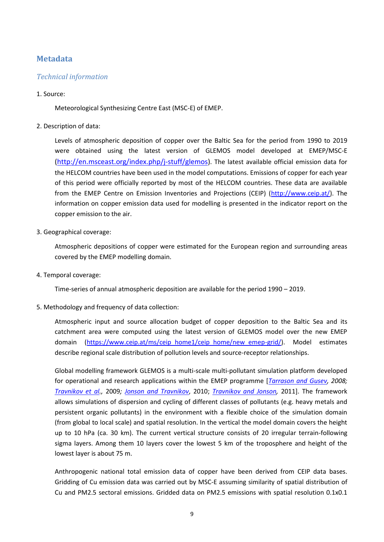## **Metadata**

### *Technical information*

### 1. Source:

Meteorological Synthesizing Centre East (MSC-E) of EMEP.

2. Description of data:

Levels of atmospheric deposition of copper over the Baltic Sea for the period from 1990 to 2019 were obtained using the latest version of GLEMOS model developed at EMEP/MSC-E [\(http://en.msceast.org/index.php/j-stuff/glemos\)](http://en.msceast.org/index.php/j-stuff/glemos). The latest available official emission data for the HELCOM countries have been used in the model computations. Emissions of copper for each year of this period were officially reported by most of the HELCOM countries. These data are available from the EMEP Centre on Emission Inventories and Projections (CEIP) [\(http://www.ceip.at/\)](http://www.ceip.at/). The information on copper emission data used for modelling is presented in the indicator report on the copper emission to the air.

3. Geographical coverage:

Atmospheric depositions of copper were estimated for the European region and surrounding areas covered by the EMEP modelling domain.

4. Temporal coverage:

Time-series of annual atmospheric deposition are available for the period 1990 – 2019.

5. Methodology and frequency of data collection:

Atmospheric input and source allocation budget of copper deposition to the Baltic Sea and its catchment area were computed using the latest version of GLEMOS model over the new EMEP domain [\(https://www.ceip.at/ms/ceip\\_home1/ceip\\_home/new\\_emep-grid/\)](https://www.ceip.at/ms/ceip_home1/ceip_home/new_emep-grid/). Model estimates describe regional scale distribution of pollution levels and source-receptor relationships.

Global modelling framework GLEMOS is a multi-scale multi-pollutant simulation platform developed for operational and research applications within the EMEP programme [*[Tarrason and Gusev,](http://en.msceast.org/index.php/j-stuff/glemos#ref) 2008; [Travnikov et al.](http://en.msceast.org/index.php/j-stuff/glemos#ref),* 2009*; [Jonson and Travnikov](http://en.msceast.org/index.php/j-stuff/glemos#ref)*, 2010; *[Travnikov and Jonson,](http://en.msceast.org/index.php/j-stuff/glemos#ref)* 2011]. The framework allows simulations of dispersion and cycling of different classes of pollutants (e.g. heavy metals and persistent organic pollutants) in the environment with a flexible choice of the simulation domain (from global to local scale) and spatial resolution. In the vertical the model domain covers the height up to 10 hPa (ca. 30 km). The current vertical structure consists of 20 irregular terrain-following sigma layers. Among them 10 layers cover the lowest 5 km of the troposphere and height of the lowest layer is about 75 m.

Anthropogenic national total emission data of copper have been derived from CEIP data bases. Gridding of Cu emission data was carried out by MSC-E assuming similarity of spatial distribution of Cu and PM2.5 sectoral emissions. Gridded data on PM2.5 emissions with spatial resolution 0.1x0.1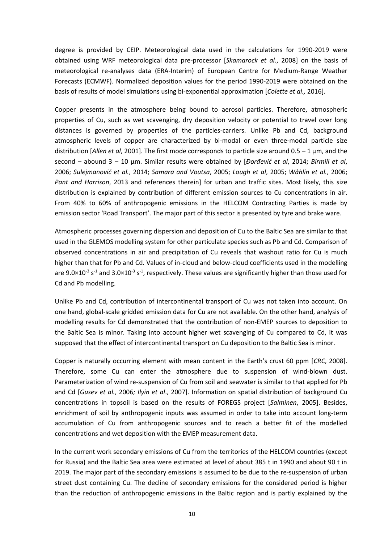degree is provided by CEIP. Meteorological data used in the calculations for 1990-2019 were obtained using WRF meteorological data pre-processor [*Skamarock et al*., 2008] on the basis of meteorological re-analyses data (ERA-Interim) of European Centre for Medium-Range Weather Forecasts (ECMWF). Normalized deposition values for the period 1990-2019 were obtained on the basis of results of model simulations using bi-exponential approximation [*Colette et al.,* 2016].

Copper presents in the atmosphere being bound to aerosol particles. Therefore, atmospheric properties of Cu, such as wet scavenging, dry deposition velocity or potential to travel over long distances is governed by properties of the particles-carriers. Unlike Pb and Cd, background atmospheric levels of copper are characterized by bi-modal or even three-modal particle size distribution [*Allen et al*, 2001]. The first mode corresponds to particle size around 0.5 – 1 μm, and the second – abound 3 – 10 μm. Similar results were obtained by [*Đorđević et al*, 2014; *Birmili et al*, 2006; *Sulejmanović et al.*, 2014; *Samara and Voutsa*, 2005; *Lough et al*, 2005; *Wåhlin et al.*, 2006; *Pant and Harrison*, 2013 and references therein] for urban and traffic sites. Most likely, this size distribution is explained by contribution of different emission sources to Cu concentrations in air. From 40% to 60% of anthropogenic emissions in the HELCOM Contracting Parties is made by emission sector 'Road Transport'. The major part of this sector is presented by tyre and brake ware.

Atmospheric processes governing dispersion and deposition of Cu to the Baltic Sea are similar to that used in the GLEMOS modelling system for other particulate species such as Pb and Cd. Comparison of observed concentrations in air and precipitation of Cu reveals that washout ratio for Cu is much higher than that for Pb and Cd. Values of in-cloud and below-cloud coefficients used in the modelling are 9.0×10<sup>-3</sup> s<sup>-1</sup> and 3.0×10<sup>-3</sup> s<sup>-1</sup>, respectively. These values are significantly higher than those used for Cd and Pb modelling.

Unlike Pb and Cd, contribution of intercontinental transport of Cu was not taken into account. On one hand, global-scale gridded emission data for Cu are not available. On the other hand, analysis of modelling results for Cd demonstrated that the contribution of non-EMEP sources to deposition to the Baltic Sea is minor. Taking into account higher wet scavenging of Cu compared to Cd, it was supposed that the effect of intercontinental transport on Cu deposition to the Baltic Sea is minor.

Copper is naturally occurring element with mean content in the Earth's crust 60 ppm [*CRC*, 2008]. Therefore, some Cu can enter the atmosphere due to suspension of wind-blown dust. Parameterization of wind re-suspension of Cu from soil and seawater is similar to that applied for Pb and Cd [*Gusev et al.*, 2006*; Ilyin et al*., 2007]. Information on spatial distribution of background Cu concentrations in topsoil is based on the results of FOREGS project [*Salminen*, 2005]. Besides, enrichment of soil by anthropogenic inputs was assumed in order to take into account long-term accumulation of Cu from anthropogenic sources and to reach a better fit of the modelled concentrations and wet deposition with the EMEP measurement data.

In the current work secondary emissions of Cu from the territories of the HELCOM countries (except for Russia) and the Baltic Sea area were estimated at level of about 385 t in 1990 and about 90 t in 2019. The major part of the secondary emissions is assumed to be due to the re-suspension of urban street dust containing Cu. The decline of secondary emissions for the considered period is higher than the reduction of anthropogenic emissions in the Baltic region and is partly explained by the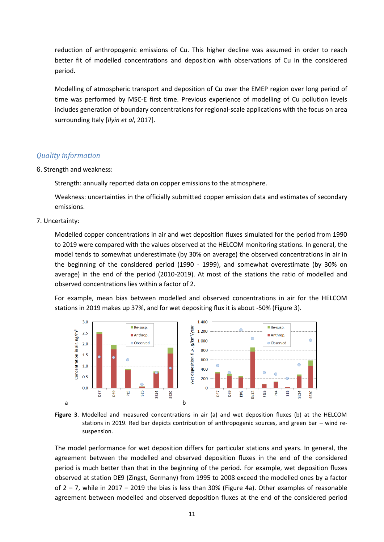reduction of anthropogenic emissions of Cu. This higher decline was assumed in order to reach better fit of modelled concentrations and deposition with observations of Cu in the considered period.

Modelling of atmospheric transport and deposition of Cu over the EMEP region over long period of time was performed by MSC-E first time. Previous experience of modelling of Cu pollution levels includes generation of boundary concentrations for regional-scale applications with the focus on area surrounding Italy [*Ilyin et al*, 2017].

### *Quality information*

6. Strength and weakness:

Strength: annually reported data on copper emissions to the atmosphere.

Weakness: uncertainties in the officially submitted copper emission data and estimates of secondary emissions.

#### 7. Uncertainty:

Modelled copper concentrations in air and wet deposition fluxes simulated for the period from 1990 to 2019 were compared with the values observed at the HELCOM monitoring stations. In general, the model tends to somewhat underestimate (by 30% on average) the observed concentrations in air in the beginning of the considered period (1990 - 1999), and somewhat overestimate (by 30% on average) in the end of the period (2010-2019). At most of the stations the ratio of modelled and observed concentrations lies within a factor of 2.

For example, mean bias between modelled and observed concentrations in air for the HELCOM stations in 2019 makes up 37%, and for wet depositing flux it is about -50% (Figure 3).



**Figure 3**. Modelled and measured concentrations in air (a) and wet deposition fluxes (b) at the HELCOM stations in 2019. Red bar depicts contribution of anthropogenic sources, and green bar – wind resuspension.

The model performance for wet deposition differs for particular stations and years. In general, the agreement between the modelled and observed deposition fluxes in the end of the considered period is much better than that in the beginning of the period. For example, wet deposition fluxes observed at station DE9 (Zingst, Germany) from 1995 to 2008 exceed the modelled ones by a factor of 2 – 7, while in 2017 – 2019 the bias is less than 30% (Figure 4a). Other examples of reasonable agreement between modelled and observed deposition fluxes at the end of the considered period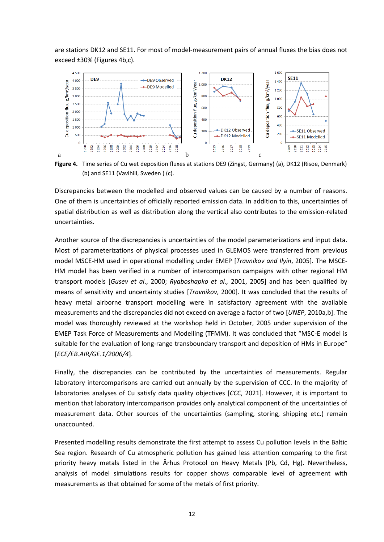are stations DK12 and SE11. For most of model-measurement pairs of annual fluxes the bias does not exceed ±30% (Figures 4b,c).



**Figure 4.** Time series of Cu wet deposition fluxes at stations DE9 (Zingst, Germany) (a), DK12 (Risoe, Denmark) (b) and SE11 (Vavihill, Sweden ) (c).

Discrepancies between the modelled and observed values can be caused by a number of reasons. One of them is uncertainties of officially reported emission data. In addition to this, uncertainties of spatial distribution as well as distribution along the vertical also contributes to the emission-related uncertainties.

Another source of the discrepancies is uncertainties of the model parameterizations and input data. Most of parameterizations of physical processes used in GLEMOS were transferred from previous model MSCE-HM used in operational modelling under EMEP [*Travnikov and Ilyin*, 2005]. The MSCE-HM model has been verified in a number of intercomparison campaigns with other regional HM transport models [*Gusev et al*., 2000; *Ryaboshapko et al.,* 2001, 2005] and has been qualified by means of sensitivity and uncertainty studies [*Travnikov*, 2000]. It was concluded that the results of heavy metal airborne transport modelling were in satisfactory agreement with the available measurements and the discrepancies did not exceed on average a factor of two [*UNEP*, 2010a,b]. The model was thoroughly reviewed at the workshop held in October, 2005 under supervision of the EMEP Task Force of Measurements and Modelling (TFMM). It was concluded that "MSC-E model is suitable for the evaluation of long-range transboundary transport and deposition of HMs in Europe" [*ECE/EB.AIR/GE.1/2006/4*].

Finally, the discrepancies can be contributed by the uncertainties of measurements. Regular laboratory intercomparisons are carried out annually by the supervision of CCC. In the majority of laboratories analyses of Cu satisfy data quality objectives [*CCC*, 2021]. However, it is important to mention that laboratory intercomparison provides only analytical component of the uncertainties of measurement data. Other sources of the uncertainties (sampling, storing, shipping etc.) remain unaccounted.

Presented modelling results demonstrate the first attempt to assess Cu pollution levels in the Baltic Sea region. Research of Cu atmospheric pollution has gained less attention comparing to the first priority heavy metals listed in the Århus Protocol on Heavy Metals (Pb, Cd, Hg). Nevertheless, analysis of model simulations results for copper shows comparable level of agreement with measurements as that obtained for some of the metals of first priority.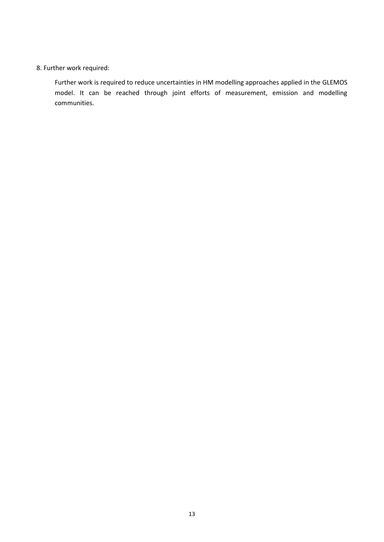## 8. Further work required:

Further work is required to reduce uncertainties in HM modelling approaches applied in the GLEMOS model. It can be reached through joint efforts of measurement, emission and modelling communities.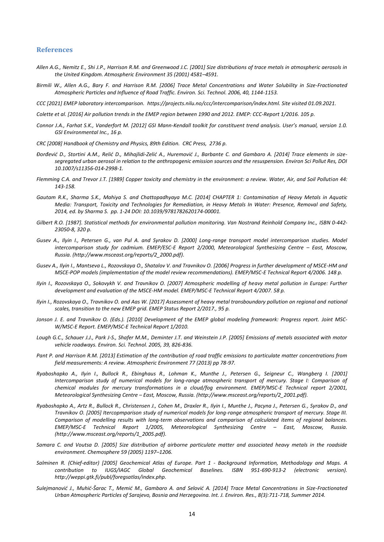#### **References**

- *Allen A.G., Nemitz E., Shi J.P., Harrison R.M. and Greenwood J.C. [2001] Size distributions of trace metals in atmospheric aerosols in the United Kingdom. Atmospheric Environment 35 (2001) 4581–4591.*
- *Birmili W., Allen A.G., Bary F. and Harrison R.M. [2006] Trace Metal Concentrations and Water Solubility in Size-Fractionated Atmospheric Particles and Influence of Road Traffic. Environ. Sci. Technol. 2006, 40, 1144-1153.*

*CCC [2021] EMEP laboratory intercomparison. [https://projects.nilu.no/ccc/intercomparison/index.html. Site visited 01.09.2021.](https://projects.nilu.no/ccc/intercomparison/index.html.%20Site%20visited%2001.09.2021)*

*Colette et al. [2016] Air pollution trends in the EMEP region between 1990 and 2012. EMEP: CCC-Report 1/2016. 105 p.* 

- *Connor J.A., Farhat S.K., Vanderfort M. [2012] GSI Mann-Kendall toolkit for constituent trend analysis. User's manual, version 1.0. GSI Environmental Inc., 16 p.*
- *CRC [2008] Handbook of Chemistry and Physics, 89th Edition. CRC Press, 2736 p.*
- *Đorđević D., Stortini A.M., Relić D., Mihajlidi-Zelić A., Huremović J., Barbante C. and Gambaro A. [2014] Trace elements in sizesegregated urban aerosol in relation to the anthropogenic emission sources and the resuspension. Environ Sci Pollut Res, DOI 10.1007/s11356-014-2998-1.*
- *Flemming C.A. and Trevor J.T. [1989] Copper toxicity and chemistry in the environment: a review. Water, Air, and Soil Pollution 44: 143-158.*
- *Gautam R.K., Sharma S.K., Mahiya S. and Chattopadhyaya M.C. [2014] CHAPTER 1: Contamination of Heavy Metals in Aquatic Media: Transport, Toxicity and Technologies for Remediation, in Heavy Metals In Water: Presence, Removal and Safety, 2014, ed. by Sharma S. pp. 1-24 DOI: 10.1039/9781782620174-00001.*
- *Gilbert R.O. [1987]. Statistical methods for environmental pollution monitoring. Van Nostrand Reinhold Company Inc., ISBN 0-442- 23050-8, 320 p.*
- *Gusev A., Ilyin I., Petersen G., van Pul A. and Syrakov D. [2000] Long-range transport model intercomparison studies. Model intercomparison study for cadmium. EMEP/ESC-E Report 2/2000, Meteorological Synthesizing Centre - East, Moscow, Russia. [\(http://www.msceast.org/reports/2\\_2000.pdf\)](http://www.msceast.org/reports/2_2000.pdf).*
- *Gusev A., Ilyin I., Mantseva L., Rozovskaya O., Shatalov V. and Travnikov O. [2006] Progress in further development of MSCE-HM and MSCE-POP models (implementation of the model review recommendations). EMEP/MSC-E Technical Report 4/2006. 148 p.*
- *Ilyin I., Rozovskaya O., Sokovykh V. and Travnikov O. [2007] Atmospheric modelling of heavy metal pollution in Europe: Further development and evaluation of the MSCE-HM model. EMEP/MSC-E Technical Report 4/2007. 58 p.*
- *Ilyin I., Rozovskaya O., Travnikov O. and Aas W. [2017] Assessment of heavy metal transboundary pollution on regional and national scales, transition to the new EMEP grid. EMEP Status Report 2/2017., 95 p.*
- *Jonson J. E. and Travnikov O. (Eds.). [2010] Development of the EMEP global modeling framework: Progress report. [Joint MSC-](http://en.msceast.org/reports/1_2010.pdf)[W/MSC-E Report.](http://en.msceast.org/reports/1_2010.pdf) EMEP/MSC-E Technical Report 1/2010.*
- *Lough G.C., Schauer J.J., Park J-S., Shafer M.M., Deminter J.T. and Weinstein J.P. [2005] Emissions of metals associated with motor vehicle roadways. Environ. Sci. Technol. 2005, 39, 826-836.*
- *Pant P. and Harrison R.M. [2013] Estimation of the contribution of road traffic emissions to particulate matter concentrations from field measurements: A review. Atmospheric Environment 77 (2013) pp 78-97.*
- *Ryaboshapko A., Ilyin I., Bullock R., Ebinghaus R., Lohman K., Munthe J., Petersen G., Seigneur C., Wangberg I. [2001] Intercomparison study of numerical models for long-range atmospheric transport of mercury. Stage I: Comparison of chemical modules for mercury transformations in a cloud/fog environment. EMEP/MSC-E Technical report 2/2001, Meteorological Synthesizing Centre – East, Moscow, Russia. [\(http://www.msceast.org/reports/2\\_2001.pdf\)](http://www.msceast.org/reports/2_2001.pdf).*
- *Ryaboshapko A., Artz R., Bullock R., Christensen J., Cohen M., Draxler R., Ilyin I., Munthe J., Pacyna J., Petersen G., Syrakov D., and Travnikov O. [2005] Itercopmparison study of numerical models for long-range atmospheric transport of mercury. Stage III. Comparison of modelling results with long-term observations and comparison of calculated items of regional balances. EMEP/MSC-E Technical Report 1/2005, Meteorological Synthesizing Centre – East, Moscow, Russia. [\(http://www.msceast.org/reports/1\\_2005.pdf\)](http://www.msceast.org/reports/1_2005.pdf).*
- *Samara C. and Voutsa D. [2005] Size distribution of airborne particulate matter and associated heavy metals in the roadside environment. Chemosphere 59 (2005) 1197–1206.*
- *Salminen R. (Chief-editor) [2005] Geochemical Atlas of Europe. Part 1 - Background Information, Methodology and Maps. A*  contribution to IUGS/IAGC Global Geochemical Baselines. ISBN 951-690-913-2 (electronic version). *[http://weppi.gtk.fi/publ/foregsatlas/index.php.](http://weppi.gtk.fi/publ/foregsatlas/index.php)*
- *Sulejmanović J., Muhić-Šarac T., Memić M., Gambaro A. and Selović A. [2014] Trace Metal Concentrations in Size-Fractionated Urban Atmospheric Particles of Sarajevo, Bosnia and Herzegovina. Int. J. Environ. Res., 8(3):711-718, Summer 2014.*